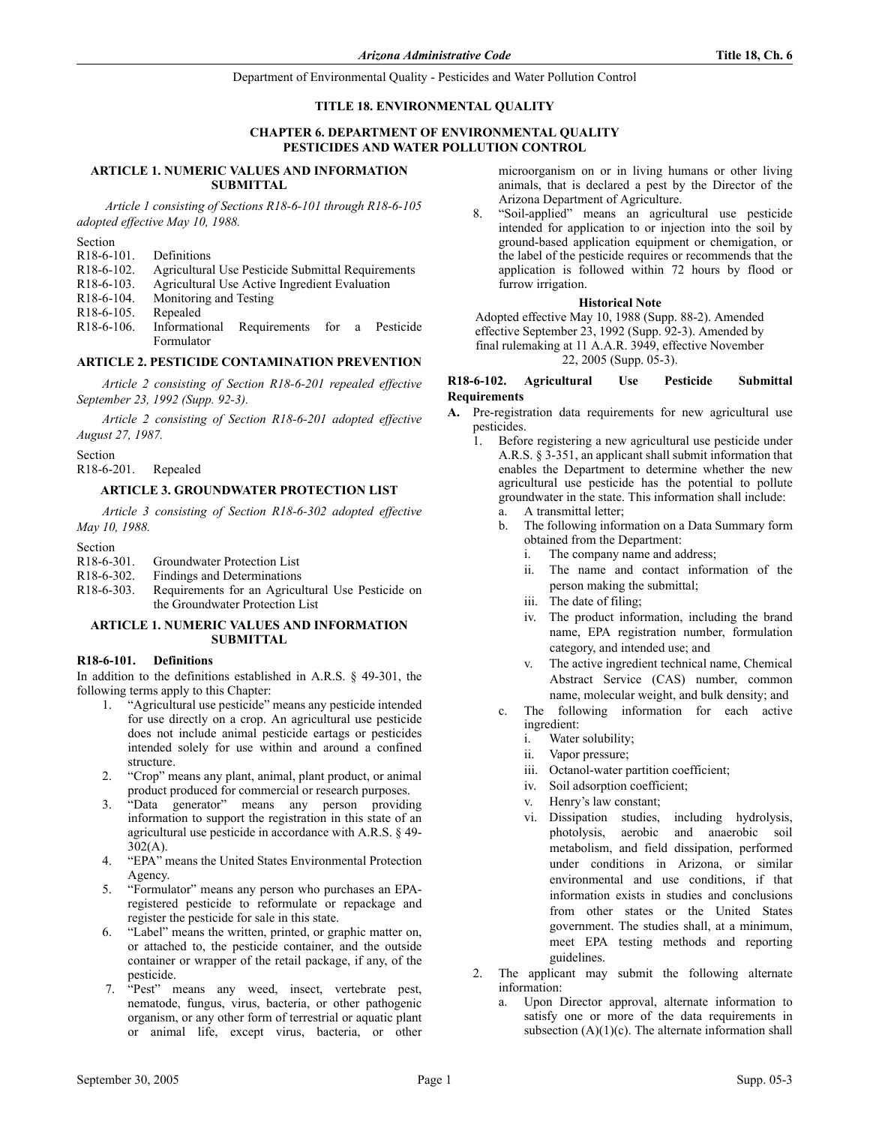#### **TITLE 18. ENVIRONMENTAL QUALITY**

### **CHAPTER 6. DEPARTMENT OF ENVIRONMENTAL QUALITY PESTICIDES AND WATER POLLUTION CONTROL**

#### **ARTICLE 1. NUMERIC VALUES AND INFORMATION SUBMITTAL**

 *Article 1 consisting of Sections R18-6-101 through R18-6-105 adopted effective May 10, 1988.*

Section

- R18-6-101. Definitions
- R18-6-102. Agricultural Use Pesticide Submittal Requirements
- R18-6-103. Agricultural Use Active Ingredient Evaluation
- R18-6-104. Monitoring and Testing
- R18-6-105. Repealed
- R18-6-106. Informational Requirements for a Pesticide Formulator

## **ARTICLE 2. PESTICIDE CONTAMINATION PREVENTION**

*Article 2 consisting of Section R18-6-201 repealed effective September 23, 1992 (Supp. 92-3).*

*Article 2 consisting of Section R18-6-201 adopted effective August 27, 1987.*

Section

R18-6-201. Repealed

#### **ARTICLE 3. GROUNDWATER PROTECTION LIST**

*Article 3 consisting of Section R18-6-302 adopted effective May 10, 1988.*

Section

R18-6-301. Groundwater Protection List

R18-6-302. Findings and Determinations

R18-6-303. Requirements for an Agricultural Use Pesticide on the Groundwater Protection List

#### **ARTICLE 1. NUMERIC VALUES AND INFORMATION SUBMITTAL**

#### **R18-6-101. Definitions**

In addition to the definitions established in A.R.S. § 49-301, the following terms apply to this Chapter:

- 1. "Agricultural use pesticide" means any pesticide intended for use directly on a crop. An agricultural use pesticide does not include animal pesticide eartags or pesticides intended solely for use within and around a confined structure.
- 2. "Crop" means any plant, animal, plant product, or animal product produced for commercial or research purposes.
- 3. "Data generator" means any person providing information to support the registration in this state of an agricultural use pesticide in accordance with A.R.S. § 49- 302(A).
- 4. "EPA" means the United States Environmental Protection Agency.
- 5. "Formulator" means any person who purchases an EPAregistered pesticide to reformulate or repackage and register the pesticide for sale in this state.
- 6. "Label" means the written, printed, or graphic matter on, or attached to, the pesticide container, and the outside container or wrapper of the retail package, if any, of the pesticide.
- 7. "Pest" means any weed, insect, vertebrate pest, nematode, fungus, virus, bacteria, or other pathogenic organism, or any other form of terrestrial or aquatic plant or animal life, except virus, bacteria, or other

microorganism on or in living humans or other living animals, that is declared a pest by the Director of the Arizona Department of Agriculture.

8. "Soil-applied" means an agricultural use pesticide intended for application to or injection into the soil by ground-based application equipment or chemigation, or the label of the pesticide requires or recommends that the application is followed within 72 hours by flood or furrow irrigation.

#### **Historical Note**

Adopted effective May 10, 1988 (Supp. 88-2). Amended effective September 23, 1992 (Supp. 92-3). Amended by final rulemaking at 11 A.A.R. 3949, effective November 22, 2005 (Supp. 05-3).

## **R18-6-102. Agricultural Use Pesticide Submittal Requirements**

- **A.** Pre-registration data requirements for new agricultural use pesticides.
	- 1. Before registering a new agricultural use pesticide under A.R.S. § 3-351, an applicant shall submit information that enables the Department to determine whether the new agricultural use pesticide has the potential to pollute groundwater in the state. This information shall include: a. A transmittal letter;
		- b. The following information on a Data Summary form obtained from the Department:
			- i. The company name and address;
			- ii. The name and contact information of the person making the submittal;
			- iii. The date of filing;
			- iv. The product information, including the brand name, EPA registration number, formulation category, and intended use; and
			- v. The active ingredient technical name, Chemical Abstract Service (CAS) number, common name, molecular weight, and bulk density; and
		- c. The following information for each active ingredient:
			- i. Water solubility;
			- ii. Vapor pressure;
			- iii. Octanol-water partition coefficient;
			- iv. Soil adsorption coefficient;
			- v. Henry's law constant;
			- vi. Dissipation studies, including hydrolysis, photolysis, aerobic and anaerobic soil metabolism, and field dissipation, performed under conditions in Arizona, or similar environmental and use conditions, if that information exists in studies and conclusions from other states or the United States government. The studies shall, at a minimum, meet EPA testing methods and reporting guidelines.
	- 2. The applicant may submit the following alternate information:
		- a. Upon Director approval, alternate information to satisfy one or more of the data requirements in subsection  $(A)(1)(c)$ . The alternate information shall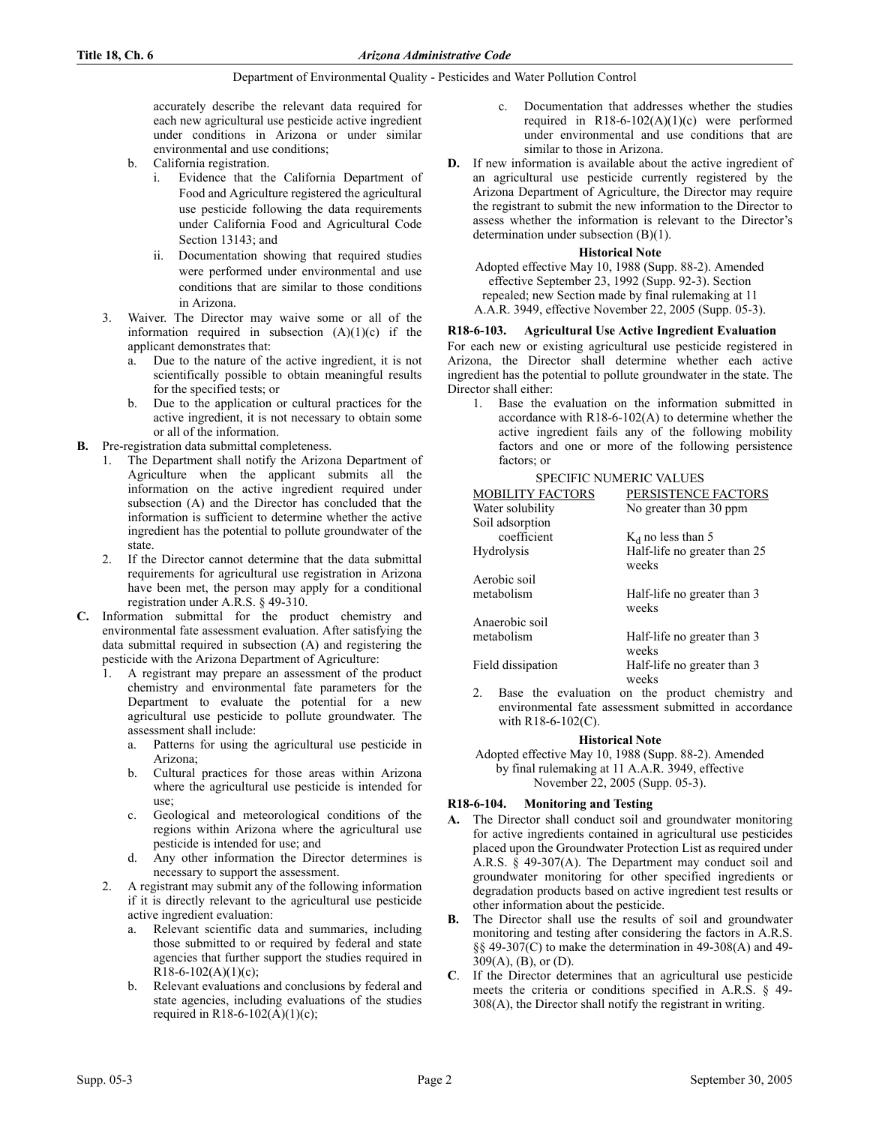accurately describe the relevant data required for each new agricultural use pesticide active ingredient under conditions in Arizona or under similar environmental and use conditions;

- b. California registration.
	- i. Evidence that the California Department of Food and Agriculture registered the agricultural use pesticide following the data requirements under California Food and Agricultural Code Section 13143; and
	- ii. Documentation showing that required studies were performed under environmental and use conditions that are similar to those conditions in Arizona.
- 3. Waiver. The Director may waive some or all of the information required in subsection  $(A)(1)(c)$  if the applicant demonstrates that:
	- a. Due to the nature of the active ingredient, it is not scientifically possible to obtain meaningful results for the specified tests; or
	- b. Due to the application or cultural practices for the active ingredient, it is not necessary to obtain some or all of the information.
- **B.** Pre-registration data submittal completeness.
	- 1. The Department shall notify the Arizona Department of Agriculture when the applicant submits all the information on the active ingredient required under subsection (A) and the Director has concluded that the information is sufficient to determine whether the active ingredient has the potential to pollute groundwater of the state.
	- 2. If the Director cannot determine that the data submittal requirements for agricultural use registration in Arizona have been met, the person may apply for a conditional registration under A.R.S. § 49-310.
- **C.** Information submittal for the product chemistry and environmental fate assessment evaluation. After satisfying the data submittal required in subsection (A) and registering the pesticide with the Arizona Department of Agriculture:
	- 1. A registrant may prepare an assessment of the product chemistry and environmental fate parameters for the Department to evaluate the potential for a new agricultural use pesticide to pollute groundwater. The assessment shall include:
		- a. Patterns for using the agricultural use pesticide in Arizona;
		- b. Cultural practices for those areas within Arizona where the agricultural use pesticide is intended for use;
		- c. Geological and meteorological conditions of the regions within Arizona where the agricultural use pesticide is intended for use; and
		- d. Any other information the Director determines is necessary to support the assessment.
	- 2. A registrant may submit any of the following information if it is directly relevant to the agricultural use pesticide active ingredient evaluation:
		- a. Relevant scientific data and summaries, including those submitted to or required by federal and state agencies that further support the studies required in  $R18-6-102(A)(1)(c)$ ;
		- Relevant evaluations and conclusions by federal and state agencies, including evaluations of the studies required in R18-6-102(A)(1)(c);
- c. Documentation that addresses whether the studies required in  $R18-6-102(A)(1)(c)$  were performed under environmental and use conditions that are similar to those in Arizona.
- **D.** If new information is available about the active ingredient of an agricultural use pesticide currently registered by the Arizona Department of Agriculture, the Director may require the registrant to submit the new information to the Director to assess whether the information is relevant to the Director's determination under subsection (B)(1).

## **Historical Note**

Adopted effective May 10, 1988 (Supp. 88-2). Amended effective September 23, 1992 (Supp. 92-3). Section repealed; new Section made by final rulemaking at 11 A.A.R. 3949, effective November 22, 2005 (Supp. 05-3).

## **R18-6-103. Agricultural Use Active Ingredient Evaluation**

For each new or existing agricultural use pesticide registered in Arizona, the Director shall determine whether each active ingredient has the potential to pollute groundwater in the state. The Director shall either:

1. Base the evaluation on the information submitted in accordance with R18-6-102(A) to determine whether the active ingredient fails any of the following mobility factors and one or more of the following persistence factors; or

### SPECIFIC NUMERIC VALUES

| <b>MOBILITY FACTORS</b><br>Water solubility<br>Soil adsorption | PERSISTENCE FACTORS<br>No greater than 30 ppm |
|----------------------------------------------------------------|-----------------------------------------------|
| coefficient                                                    | $K_d$ no less than 5                          |
| <b>Hydrolysis</b>                                              | Half-life no greater than 25<br>weeks         |
| Aerobic soil                                                   |                                               |
| metabolism                                                     | Half-life no greater than 3<br>weeks          |
| Anaerobic soil                                                 |                                               |
| metabolism                                                     | Half-life no greater than 3<br>weeks          |
| Field dissipation                                              | Half-life no greater than 3<br>weeks          |

Base the evaluation on the product chemistry and environmental fate assessment submitted in accordance with R18-6-102(C).

#### **Historical Note**

Adopted effective May 10, 1988 (Supp. 88-2). Amended by final rulemaking at 11 A.A.R. 3949, effective November 22, 2005 (Supp. 05-3).

## **R18-6-104. Monitoring and Testing**

- **A.** The Director shall conduct soil and groundwater monitoring for active ingredients contained in agricultural use pesticides placed upon the Groundwater Protection List as required under A.R.S. § 49-307(A). The Department may conduct soil and groundwater monitoring for other specified ingredients or degradation products based on active ingredient test results or other information about the pesticide.
- **B.** The Director shall use the results of soil and groundwater monitoring and testing after considering the factors in A.R.S. §§ 49-307(C) to make the determination in 49-308(A) and 49- 309(A), (B), or (D).
- **C**. If the Director determines that an agricultural use pesticide meets the criteria or conditions specified in A.R.S. § 49- 308(A), the Director shall notify the registrant in writing.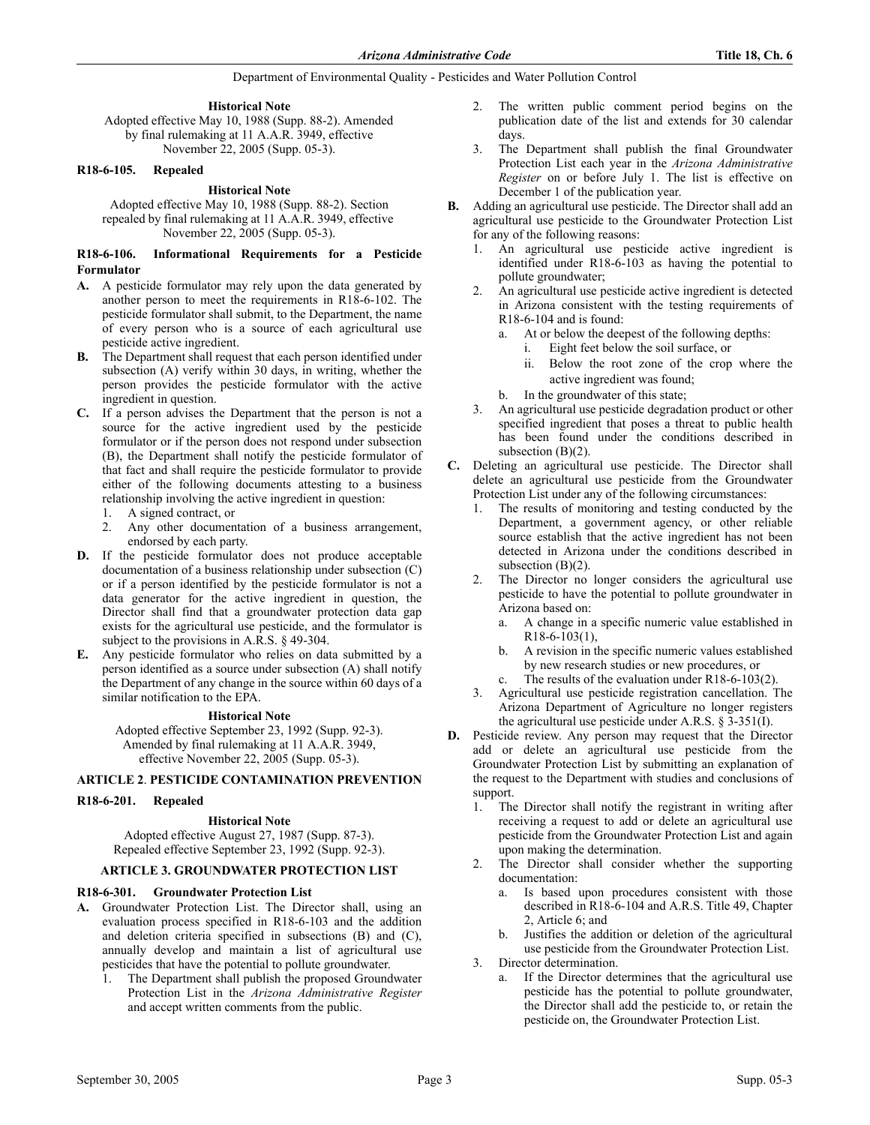**Historical Note**

Adopted effective May 10, 1988 (Supp. 88-2). Amended by final rulemaking at 11 A.A.R. 3949, effective November 22, 2005 (Supp. 05-3).

### **R18-6-105. Repealed**

### **Historical Note**

Adopted effective May 10, 1988 (Supp. 88-2). Section repealed by final rulemaking at 11 A.A.R. 3949, effective November 22, 2005 (Supp. 05-3).

#### **R18-6-106. Informational Requirements for a Pesticide Formulator**

- **A.** A pesticide formulator may rely upon the data generated by another person to meet the requirements in R18-6-102. The pesticide formulator shall submit, to the Department, the name of every person who is a source of each agricultural use pesticide active ingredient.
- **B.** The Department shall request that each person identified under subsection (A) verify within 30 days, in writing, whether the person provides the pesticide formulator with the active ingredient in question.
- **C.** If a person advises the Department that the person is not a source for the active ingredient used by the pesticide formulator or if the person does not respond under subsection (B), the Department shall notify the pesticide formulator of that fact and shall require the pesticide formulator to provide either of the following documents attesting to a business relationship involving the active ingredient in question:
	- 1. A signed contract, or
	- 2. Any other documentation of a business arrangement, endorsed by each party.
- **D.** If the pesticide formulator does not produce acceptable documentation of a business relationship under subsection (C) or if a person identified by the pesticide formulator is not a data generator for the active ingredient in question, the Director shall find that a groundwater protection data gap exists for the agricultural use pesticide, and the formulator is subject to the provisions in A.R.S. § 49-304.
- **E.** Any pesticide formulator who relies on data submitted by a person identified as a source under subsection (A) shall notify the Department of any change in the source within 60 days of a similar notification to the EPA.

## **Historical Note**

Adopted effective September 23, 1992 (Supp. 92-3). Amended by final rulemaking at 11 A.A.R. 3949, effective November 22, 2005 (Supp. 05-3).

## **ARTICLE 2**. **PESTICIDE CONTAMINATION PREVENTION**

#### **R18-6-201. Repealed**

**Historical Note** Adopted effective August 27, 1987 (Supp. 87-3). Repealed effective September 23, 1992 (Supp. 92-3).

## **ARTICLE 3. GROUNDWATER PROTECTION LIST**

## **R18-6-301. Groundwater Protection List**

- **A.** Groundwater Protection List. The Director shall, using an evaluation process specified in R18-6-103 and the addition and deletion criteria specified in subsections (B) and (C), annually develop and maintain a list of agricultural use pesticides that have the potential to pollute groundwater.
	- 1. The Department shall publish the proposed Groundwater Protection List in the *Arizona Administrative Register* and accept written comments from the public.
- 2. The written public comment period begins on the publication date of the list and extends for 30 calendar days.
- 3. The Department shall publish the final Groundwater Protection List each year in the *Arizona Administrative Register* on or before July 1. The list is effective on December 1 of the publication year.
- **B.** Adding an agricultural use pesticide. The Director shall add an agricultural use pesticide to the Groundwater Protection List for any of the following reasons:
	- 1. An agricultural use pesticide active ingredient is identified under R18-6-103 as having the potential to pollute groundwater;
	- 2. An agricultural use pesticide active ingredient is detected in Arizona consistent with the testing requirements of R18-6-104 and is found:
		- a. At or below the deepest of the following depths:
			- i. Eight feet below the soil surface, or
			- ii. Below the root zone of the crop where the active ingredient was found;
		- b. In the groundwater of this state;
	- 3. An agricultural use pesticide degradation product or other specified ingredient that poses a threat to public health has been found under the conditions described in subsection (B)(2).
- **C.** Deleting an agricultural use pesticide. The Director shall delete an agricultural use pesticide from the Groundwater Protection List under any of the following circumstances:
	- 1. The results of monitoring and testing conducted by the Department, a government agency, or other reliable source establish that the active ingredient has not been detected in Arizona under the conditions described in subsection  $(B)(2)$ .
	- 2. The Director no longer considers the agricultural use pesticide to have the potential to pollute groundwater in Arizona based on:
		- a. A change in a specific numeric value established in R18-6-103(1),
		- b. A revision in the specific numeric values established by new research studies or new procedures, or c. The results of the evaluation under R18-6-103(2).
	- Agricultural use pesticide registration cancellation. The Arizona Department of Agriculture no longer registers the agricultural use pesticide under A.R.S. § 3-351(I).
- **D.** Pesticide review. Any person may request that the Director add or delete an agricultural use pesticide from the Groundwater Protection List by submitting an explanation of the request to the Department with studies and conclusions of support.
	- 1. The Director shall notify the registrant in writing after receiving a request to add or delete an agricultural use pesticide from the Groundwater Protection List and again upon making the determination.
	- 2. The Director shall consider whether the supporting documentation:
		- a. Is based upon procedures consistent with those described in R18-6-104 and A.R.S. Title 49, Chapter 2, Article 6; and
		- b. Justifies the addition or deletion of the agricultural use pesticide from the Groundwater Protection List.
	- 3. Director determination.
		- a. If the Director determines that the agricultural use pesticide has the potential to pollute groundwater, the Director shall add the pesticide to, or retain the pesticide on, the Groundwater Protection List.